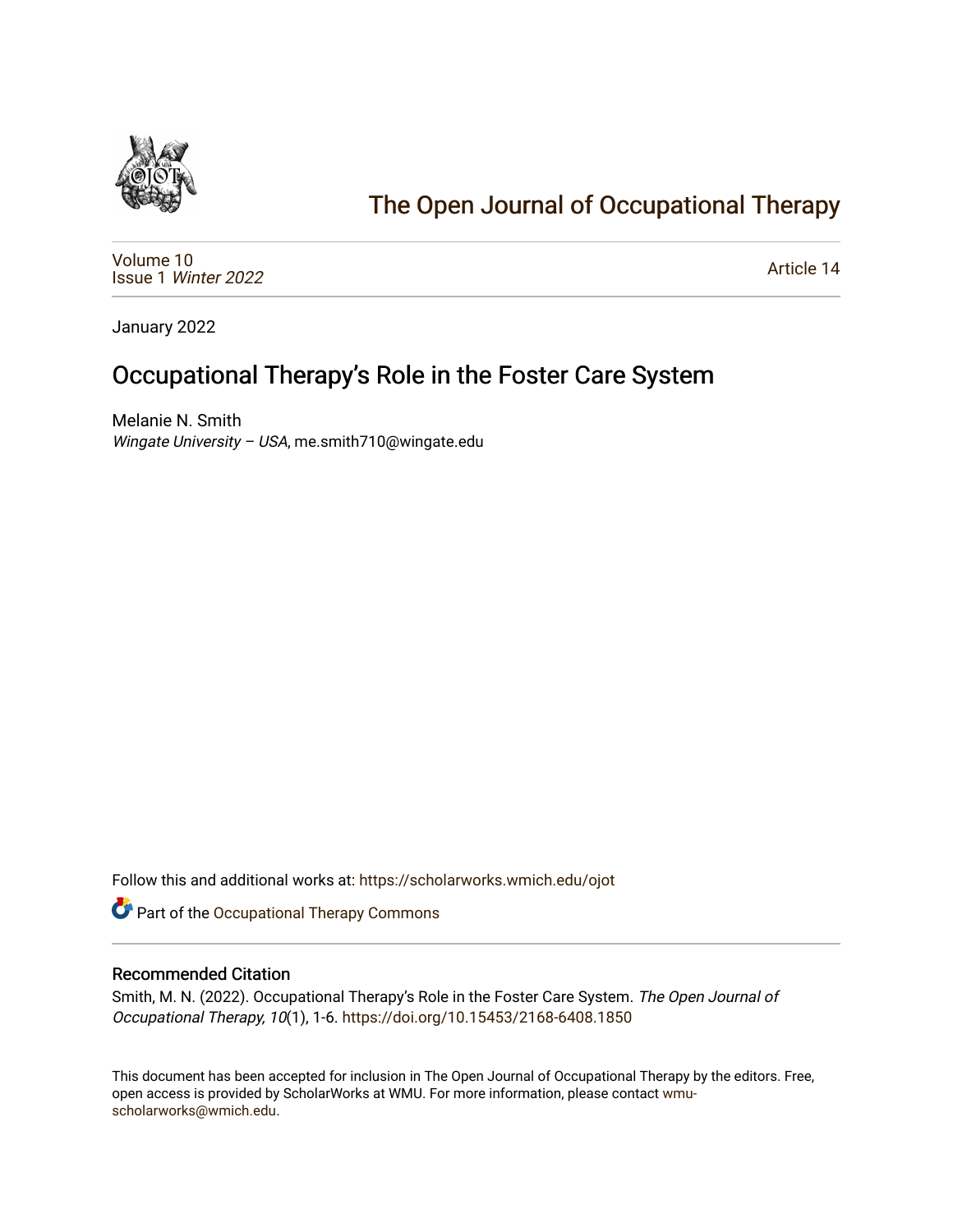

## [The Open Journal of Occupational Therapy](https://scholarworks.wmich.edu/ojot)

[Volume 10](https://scholarworks.wmich.edu/ojot/vol10) Issue 1 [Winter 2022](https://scholarworks.wmich.edu/ojot/vol10/iss1) 

[Article 14](https://scholarworks.wmich.edu/ojot/vol10/iss1/14) 

January 2022

## Occupational Therapy's Role in the Foster Care System

Melanie N. Smith Wingate University - USA, me.smith710@wingate.edu

Follow this and additional works at: [https://scholarworks.wmich.edu/ojot](https://scholarworks.wmich.edu/ojot?utm_source=scholarworks.wmich.edu%2Fojot%2Fvol10%2Fiss1%2F14&utm_medium=PDF&utm_campaign=PDFCoverPages)

Part of the [Occupational Therapy Commons](http://network.bepress.com/hgg/discipline/752?utm_source=scholarworks.wmich.edu%2Fojot%2Fvol10%2Fiss1%2F14&utm_medium=PDF&utm_campaign=PDFCoverPages) 

### Recommended Citation

Smith, M. N. (2022). Occupational Therapy's Role in the Foster Care System. The Open Journal of Occupational Therapy, 10(1), 1-6. <https://doi.org/10.15453/2168-6408.1850>

This document has been accepted for inclusion in The Open Journal of Occupational Therapy by the editors. Free, open access is provided by ScholarWorks at WMU. For more information, please contact [wmu](mailto:wmu-scholarworks@wmich.edu)[scholarworks@wmich.edu.](mailto:wmu-scholarworks@wmich.edu)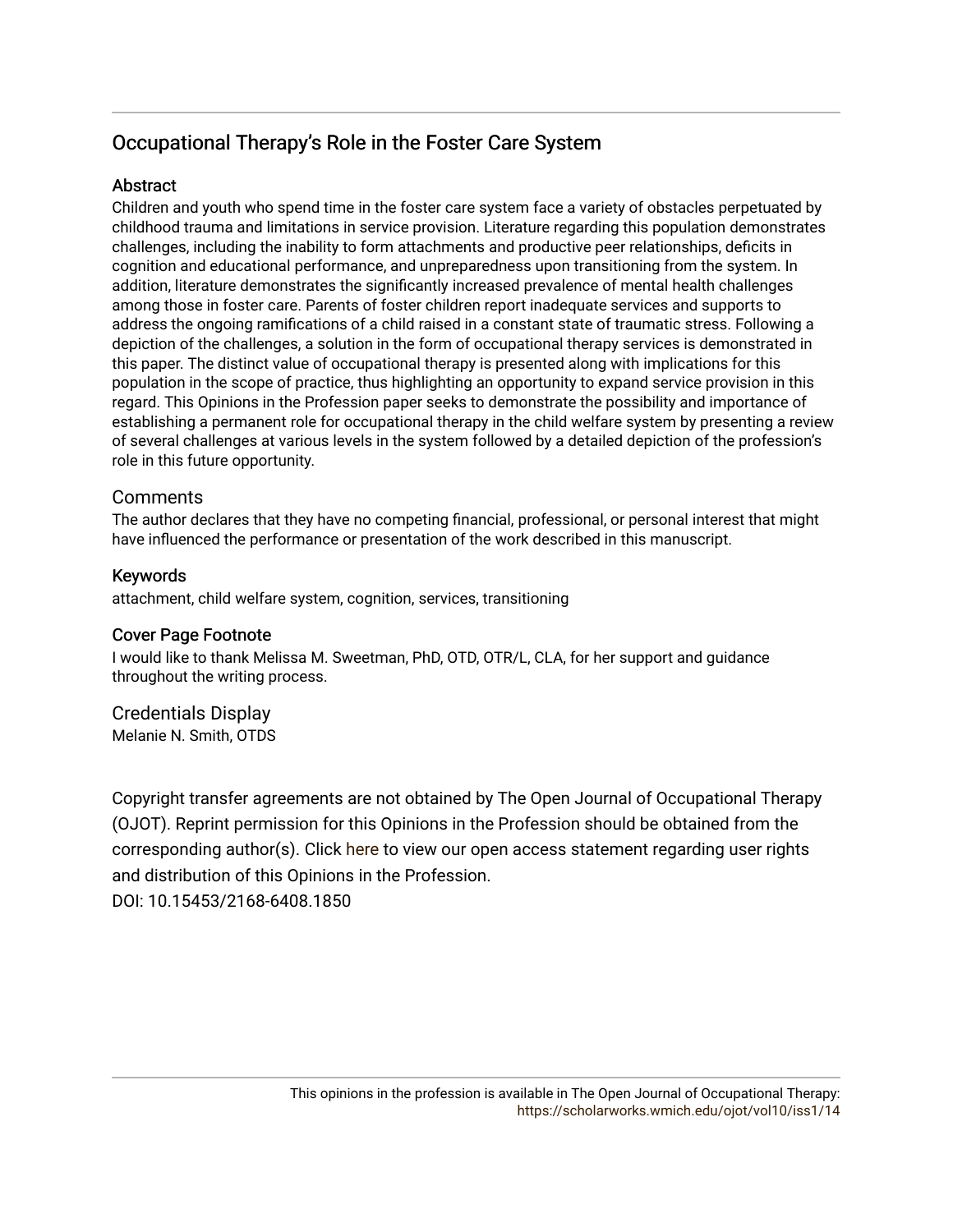### Occupational Therapy's Role in the Foster Care System

### Abstract

Children and youth who spend time in the foster care system face a variety of obstacles perpetuated by childhood trauma and limitations in service provision. Literature regarding this population demonstrates challenges, including the inability to form attachments and productive peer relationships, deficits in cognition and educational performance, and unpreparedness upon transitioning from the system. In addition, literature demonstrates the significantly increased prevalence of mental health challenges among those in foster care. Parents of foster children report inadequate services and supports to address the ongoing ramifications of a child raised in a constant state of traumatic stress. Following a depiction of the challenges, a solution in the form of occupational therapy services is demonstrated in this paper. The distinct value of occupational therapy is presented along with implications for this population in the scope of practice, thus highlighting an opportunity to expand service provision in this regard. This Opinions in the Profession paper seeks to demonstrate the possibility and importance of establishing a permanent role for occupational therapy in the child welfare system by presenting a review of several challenges at various levels in the system followed by a detailed depiction of the profession's role in this future opportunity.

### **Comments**

The author declares that they have no competing financial, professional, or personal interest that might have influenced the performance or presentation of the work described in this manuscript.

### Keywords

attachment, child welfare system, cognition, services, transitioning

### Cover Page Footnote

I would like to thank Melissa M. Sweetman, PhD, OTD, OTR/L, CLA, for her support and guidance throughout the writing process.

# Credentials Display

Melanie N. Smith, OTDS

Copyright transfer agreements are not obtained by The Open Journal of Occupational Therapy (OJOT). Reprint permission for this Opinions in the Profession should be obtained from the corresponding author(s). Click [here](https://scholarworks.wmich.edu/ojot/policies.html#rights) to view our open access statement regarding user rights and distribution of this Opinions in the Profession.

DOI: 10.15453/2168-6408.1850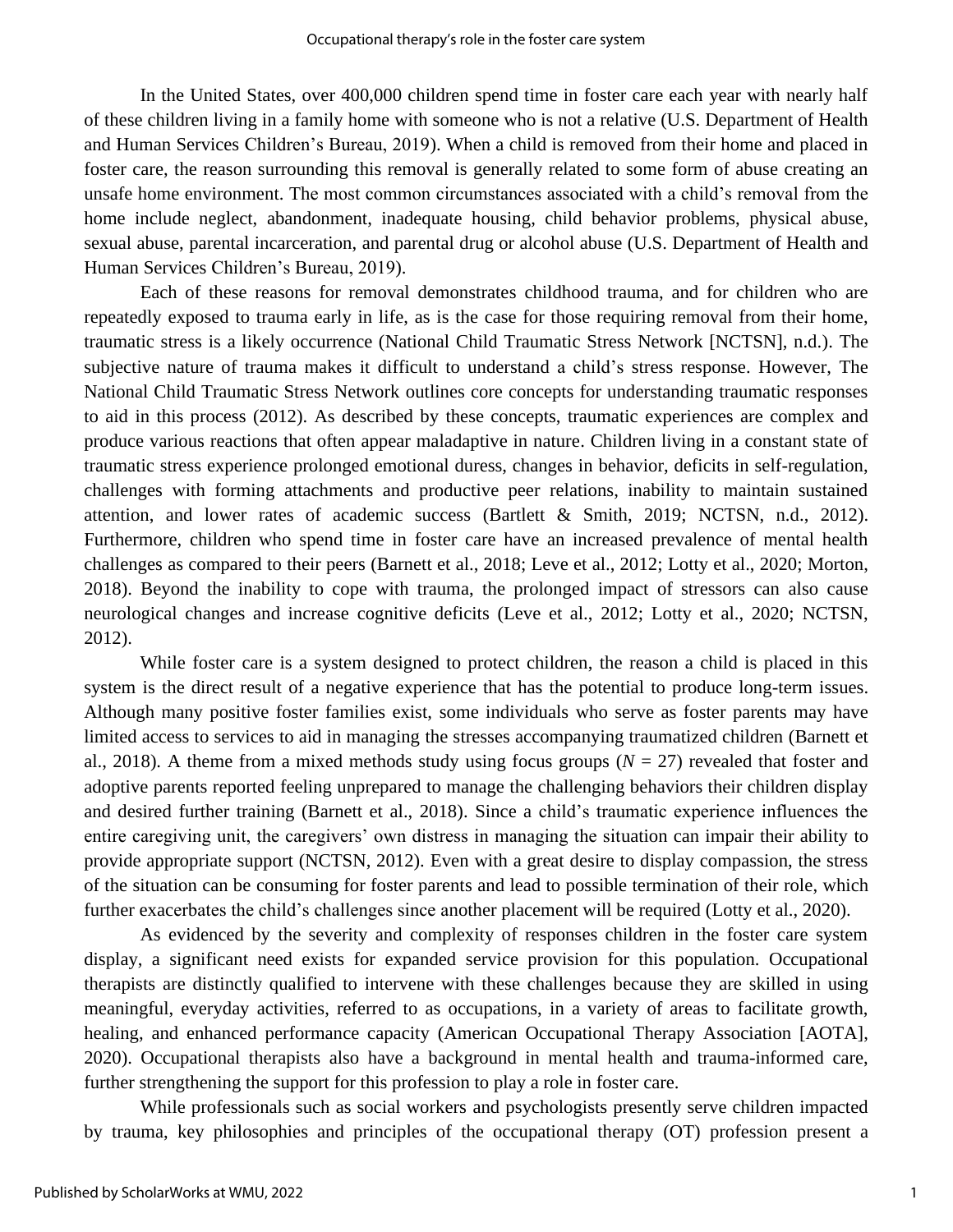In the United States, over 400,000 children spend time in foster care each year with nearly half of these children living in a family home with someone who is not a relative (U.S. Department of Health and Human Services Children's Bureau, 2019). When a child is removed from their home and placed in foster care, the reason surrounding this removal is generally related to some form of abuse creating an unsafe home environment. The most common circumstances associated with a child's removal from the home include neglect, abandonment, inadequate housing, child behavior problems, physical abuse, sexual abuse, parental incarceration, and parental drug or alcohol abuse (U.S. Department of Health and Human Services Children's Bureau, 2019).

Each of these reasons for removal demonstrates childhood trauma, and for children who are repeatedly exposed to trauma early in life, as is the case for those requiring removal from their home, traumatic stress is a likely occurrence (National Child Traumatic Stress Network [NCTSN], n.d.). The subjective nature of trauma makes it difficult to understand a child's stress response. However, The National Child Traumatic Stress Network outlines core concepts for understanding traumatic responses to aid in this process (2012). As described by these concepts, traumatic experiences are complex and produce various reactions that often appear maladaptive in nature. Children living in a constant state of traumatic stress experience prolonged emotional duress, changes in behavior, deficits in self-regulation, challenges with forming attachments and productive peer relations, inability to maintain sustained attention, and lower rates of academic success (Bartlett & Smith, 2019; NCTSN, n.d., 2012). Furthermore, children who spend time in foster care have an increased prevalence of mental health challenges as compared to their peers (Barnett et al., 2018; Leve et al., 2012; Lotty et al., 2020; Morton, 2018). Beyond the inability to cope with trauma, the prolonged impact of stressors can also cause neurological changes and increase cognitive deficits (Leve et al., 2012; Lotty et al., 2020; NCTSN, 2012).

While foster care is a system designed to protect children, the reason a child is placed in this system is the direct result of a negative experience that has the potential to produce long-term issues. Although many positive foster families exist, some individuals who serve as foster parents may have limited access to services to aid in managing the stresses accompanying traumatized children (Barnett et al., 2018). A theme from a mixed methods study using focus groups (*N* = 27) revealed that foster and adoptive parents reported feeling unprepared to manage the challenging behaviors their children display and desired further training (Barnett et al., 2018). Since a child's traumatic experience influences the entire caregiving unit, the caregivers' own distress in managing the situation can impair their ability to provide appropriate support (NCTSN, 2012). Even with a great desire to display compassion, the stress of the situation can be consuming for foster parents and lead to possible termination of their role, which further exacerbates the child's challenges since another placement will be required (Lotty et al., 2020).

As evidenced by the severity and complexity of responses children in the foster care system display, a significant need exists for expanded service provision for this population. Occupational therapists are distinctly qualified to intervene with these challenges because they are skilled in using meaningful, everyday activities, referred to as occupations, in a variety of areas to facilitate growth, healing, and enhanced performance capacity (American Occupational Therapy Association [AOTA], 2020). Occupational therapists also have a background in mental health and trauma-informed care, further strengthening the support for this profession to play a role in foster care.

While professionals such as social workers and psychologists presently serve children impacted by trauma, key philosophies and principles of the occupational therapy (OT) profession present a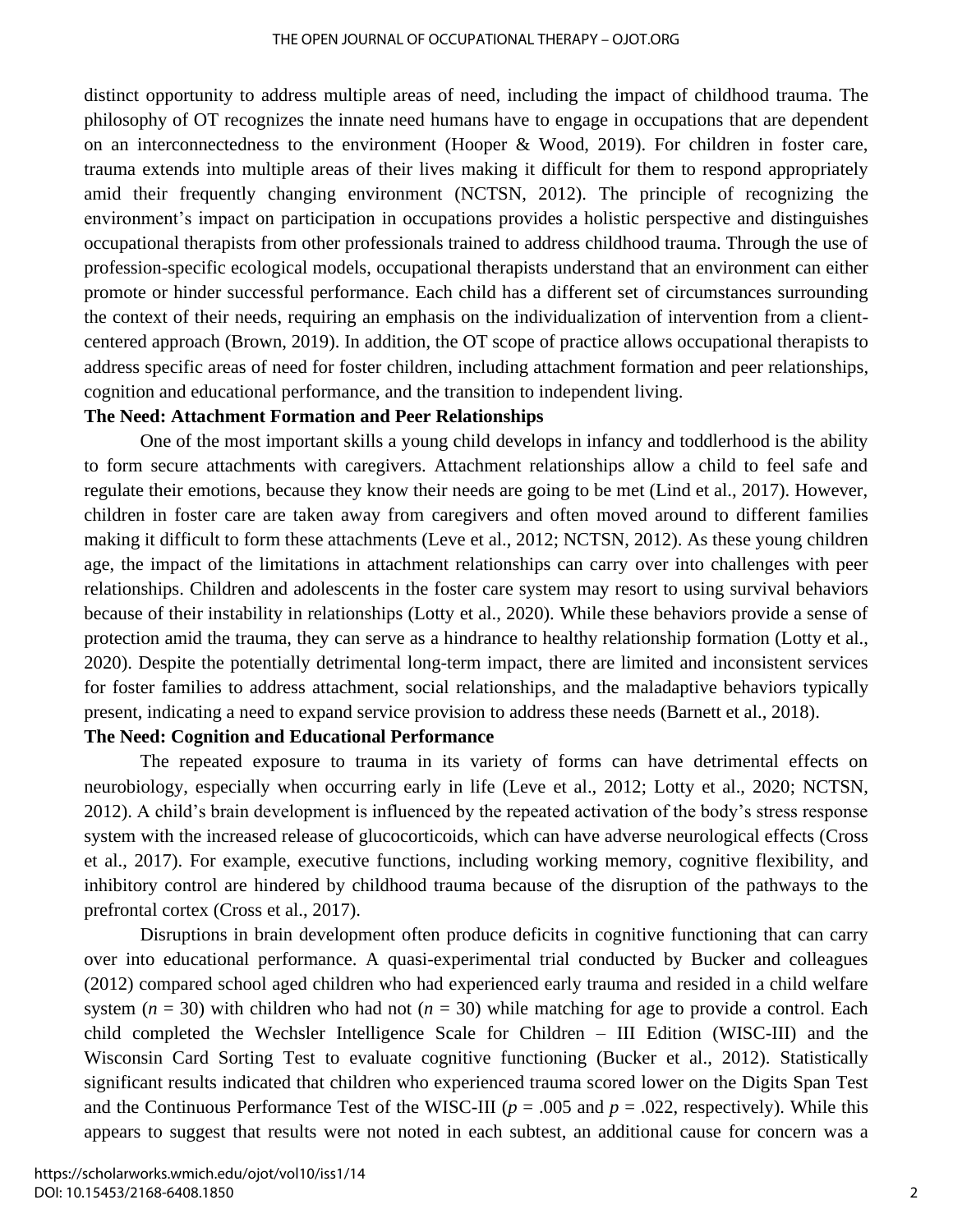distinct opportunity to address multiple areas of need, including the impact of childhood trauma. The philosophy of OT recognizes the innate need humans have to engage in occupations that are dependent on an interconnectedness to the environment (Hooper & Wood, 2019). For children in foster care, trauma extends into multiple areas of their lives making it difficult for them to respond appropriately amid their frequently changing environment (NCTSN, 2012). The principle of recognizing the environment's impact on participation in occupations provides a holistic perspective and distinguishes occupational therapists from other professionals trained to address childhood trauma. Through the use of profession-specific ecological models, occupational therapists understand that an environment can either promote or hinder successful performance. Each child has a different set of circumstances surrounding the context of their needs, requiring an emphasis on the individualization of intervention from a clientcentered approach (Brown, 2019). In addition, the OT scope of practice allows occupational therapists to address specific areas of need for foster children, including attachment formation and peer relationships, cognition and educational performance, and the transition to independent living.

### **The Need: Attachment Formation and Peer Relationships**

One of the most important skills a young child develops in infancy and toddlerhood is the ability to form secure attachments with caregivers. Attachment relationships allow a child to feel safe and regulate their emotions, because they know their needs are going to be met (Lind et al., 2017). However, children in foster care are taken away from caregivers and often moved around to different families making it difficult to form these attachments (Leve et al., 2012; NCTSN, 2012). As these young children age, the impact of the limitations in attachment relationships can carry over into challenges with peer relationships. Children and adolescents in the foster care system may resort to using survival behaviors because of their instability in relationships (Lotty et al., 2020). While these behaviors provide a sense of protection amid the trauma, they can serve as a hindrance to healthy relationship formation (Lotty et al., 2020). Despite the potentially detrimental long-term impact, there are limited and inconsistent services for foster families to address attachment, social relationships, and the maladaptive behaviors typically present, indicating a need to expand service provision to address these needs (Barnett et al., 2018).

### **The Need: Cognition and Educational Performance**

The repeated exposure to trauma in its variety of forms can have detrimental effects on neurobiology, especially when occurring early in life (Leve et al., 2012; Lotty et al., 2020; NCTSN, 2012). A child's brain development is influenced by the repeated activation of the body's stress response system with the increased release of glucocorticoids, which can have adverse neurological effects (Cross et al., 2017). For example, executive functions, including working memory, cognitive flexibility, and inhibitory control are hindered by childhood trauma because of the disruption of the pathways to the prefrontal cortex (Cross et al., 2017).

Disruptions in brain development often produce deficits in cognitive functioning that can carry over into educational performance. A quasi-experimental trial conducted by Bucker and colleagues (2012) compared school aged children who had experienced early trauma and resided in a child welfare system ( $n = 30$ ) with children who had not ( $n = 30$ ) while matching for age to provide a control. Each child completed the Wechsler Intelligence Scale for Children – III Edition (WISC-III) and the Wisconsin Card Sorting Test to evaluate cognitive functioning (Bucker et al., 2012). Statistically significant results indicated that children who experienced trauma scored lower on the Digits Span Test and the Continuous Performance Test of the WISC-III ( $p = .005$  and  $p = .022$ , respectively). While this appears to suggest that results were not noted in each subtest, an additional cause for concern was a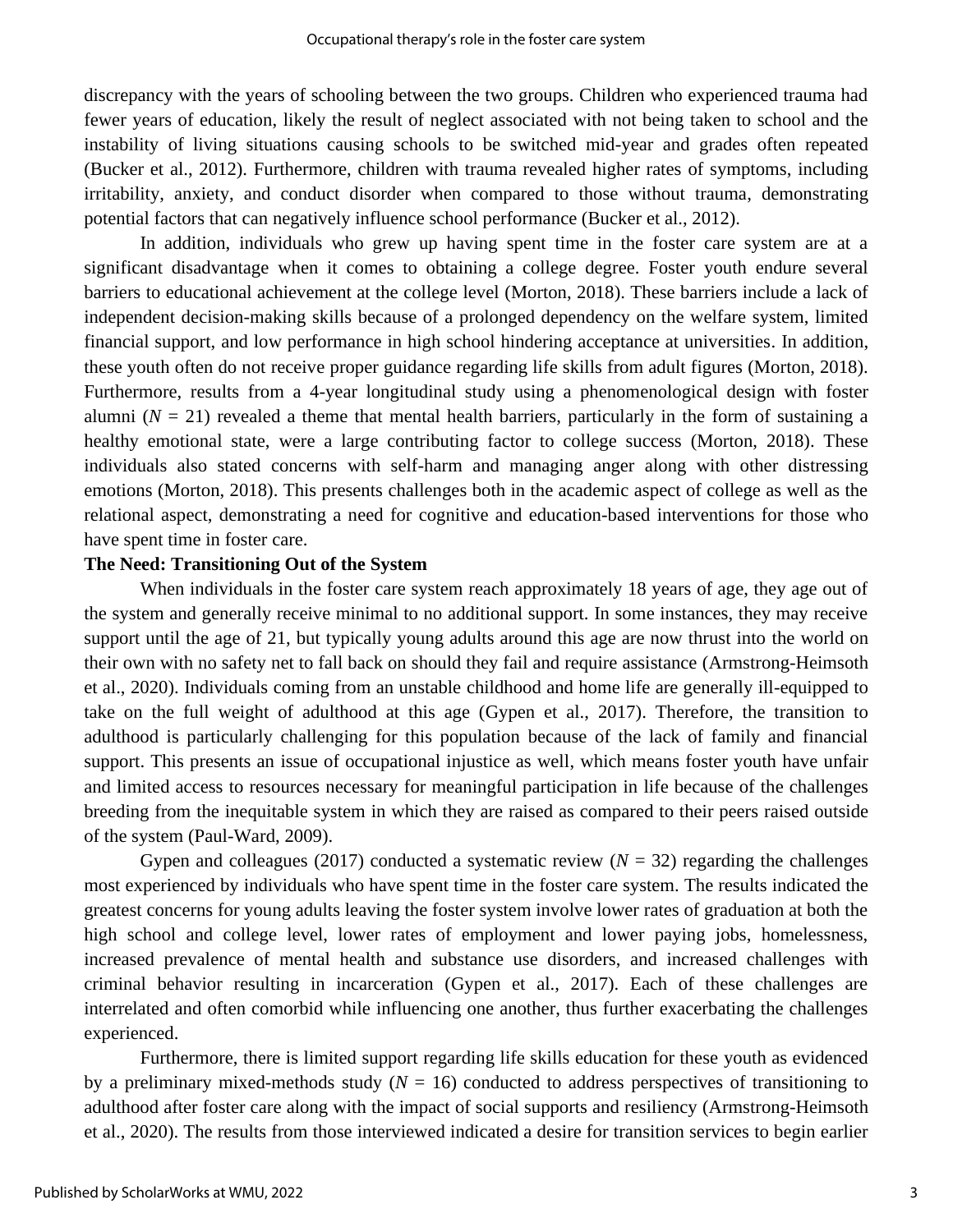discrepancy with the years of schooling between the two groups. Children who experienced trauma had fewer years of education, likely the result of neglect associated with not being taken to school and the instability of living situations causing schools to be switched mid-year and grades often repeated (Bucker et al., 2012). Furthermore, children with trauma revealed higher rates of symptoms, including irritability, anxiety, and conduct disorder when compared to those without trauma, demonstrating potential factors that can negatively influence school performance (Bucker et al., 2012).

In addition, individuals who grew up having spent time in the foster care system are at a significant disadvantage when it comes to obtaining a college degree. Foster youth endure several barriers to educational achievement at the college level (Morton, 2018). These barriers include a lack of independent decision-making skills because of a prolonged dependency on the welfare system, limited financial support, and low performance in high school hindering acceptance at universities. In addition, these youth often do not receive proper guidance regarding life skills from adult figures (Morton, 2018). Furthermore, results from a 4-year longitudinal study using a phenomenological design with foster alumni  $(N = 21)$  revealed a theme that mental health barriers, particularly in the form of sustaining a healthy emotional state, were a large contributing factor to college success (Morton, 2018). These individuals also stated concerns with self-harm and managing anger along with other distressing emotions (Morton, 2018). This presents challenges both in the academic aspect of college as well as the relational aspect, demonstrating a need for cognitive and education-based interventions for those who have spent time in foster care.

### **The Need: Transitioning Out of the System**

When individuals in the foster care system reach approximately 18 years of age, they age out of the system and generally receive minimal to no additional support. In some instances, they may receive support until the age of 21, but typically young adults around this age are now thrust into the world on their own with no safety net to fall back on should they fail and require assistance (Armstrong-Heimsoth et al., 2020). Individuals coming from an unstable childhood and home life are generally ill-equipped to take on the full weight of adulthood at this age (Gypen et al., 2017). Therefore, the transition to adulthood is particularly challenging for this population because of the lack of family and financial support. This presents an issue of occupational injustice as well, which means foster youth have unfair and limited access to resources necessary for meaningful participation in life because of the challenges breeding from the inequitable system in which they are raised as compared to their peers raised outside of the system (Paul-Ward, 2009).

Gypen and colleagues (2017) conducted a systematic review  $(N = 32)$  regarding the challenges most experienced by individuals who have spent time in the foster care system. The results indicated the greatest concerns for young adults leaving the foster system involve lower rates of graduation at both the high school and college level, lower rates of employment and lower paying jobs, homelessness, increased prevalence of mental health and substance use disorders, and increased challenges with criminal behavior resulting in incarceration (Gypen et al., 2017). Each of these challenges are interrelated and often comorbid while influencing one another, thus further exacerbating the challenges experienced.

Furthermore, there is limited support regarding life skills education for these youth as evidenced by a preliminary mixed-methods study  $(N = 16)$  conducted to address perspectives of transitioning to adulthood after foster care along with the impact of social supports and resiliency (Armstrong-Heimsoth et al., 2020). The results from those interviewed indicated a desire for transition services to begin earlier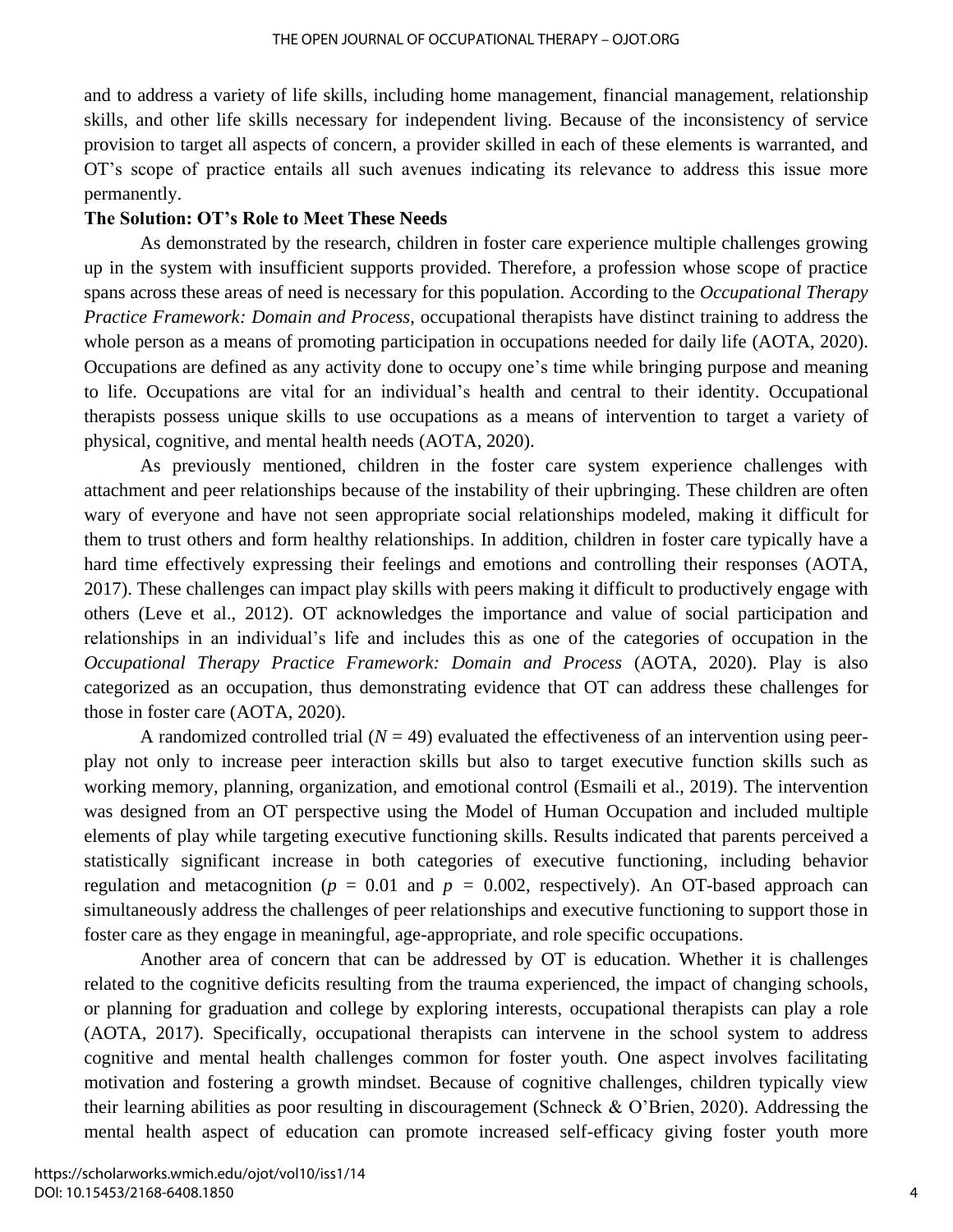and to address a variety of life skills, including home management, financial management, relationship skills, and other life skills necessary for independent living. Because of the inconsistency of service provision to target all aspects of concern, a provider skilled in each of these elements is warranted, and OT's scope of practice entails all such avenues indicating its relevance to address this issue more permanently.

### **The Solution: OT's Role to Meet These Needs**

As demonstrated by the research, children in foster care experience multiple challenges growing up in the system with insufficient supports provided. Therefore, a profession whose scope of practice spans across these areas of need is necessary for this population. According to the *Occupational Therapy Practice Framework: Domain and Process*, occupational therapists have distinct training to address the whole person as a means of promoting participation in occupations needed for daily life (AOTA, 2020). Occupations are defined as any activity done to occupy one's time while bringing purpose and meaning to life. Occupations are vital for an individual's health and central to their identity. Occupational therapists possess unique skills to use occupations as a means of intervention to target a variety of physical, cognitive, and mental health needs (AOTA, 2020).

As previously mentioned, children in the foster care system experience challenges with attachment and peer relationships because of the instability of their upbringing. These children are often wary of everyone and have not seen appropriate social relationships modeled, making it difficult for them to trust others and form healthy relationships. In addition, children in foster care typically have a hard time effectively expressing their feelings and emotions and controlling their responses (AOTA, 2017). These challenges can impact play skills with peers making it difficult to productively engage with others (Leve et al., 2012). OT acknowledges the importance and value of social participation and relationships in an individual's life and includes this as one of the categories of occupation in the *Occupational Therapy Practice Framework: Domain and Process* (AOTA, 2020). Play is also categorized as an occupation, thus demonstrating evidence that OT can address these challenges for those in foster care (AOTA, 2020).

A randomized controlled trial  $(N = 49)$  evaluated the effectiveness of an intervention using peerplay not only to increase peer interaction skills but also to target executive function skills such as working memory, planning, organization, and emotional control (Esmaili et al., 2019). The intervention was designed from an OT perspective using the Model of Human Occupation and included multiple elements of play while targeting executive functioning skills. Results indicated that parents perceived a statistically significant increase in both categories of executive functioning, including behavior regulation and metacognition ( $p = 0.01$  and  $p = 0.002$ , respectively). An OT-based approach can simultaneously address the challenges of peer relationships and executive functioning to support those in foster care as they engage in meaningful, age-appropriate, and role specific occupations.

Another area of concern that can be addressed by OT is education. Whether it is challenges related to the cognitive deficits resulting from the trauma experienced, the impact of changing schools, or planning for graduation and college by exploring interests, occupational therapists can play a role (AOTA, 2017). Specifically, occupational therapists can intervene in the school system to address cognitive and mental health challenges common for foster youth. One aspect involves facilitating motivation and fostering a growth mindset. Because of cognitive challenges, children typically view their learning abilities as poor resulting in discouragement (Schneck & O'Brien, 2020). Addressing the mental health aspect of education can promote increased self-efficacy giving foster youth more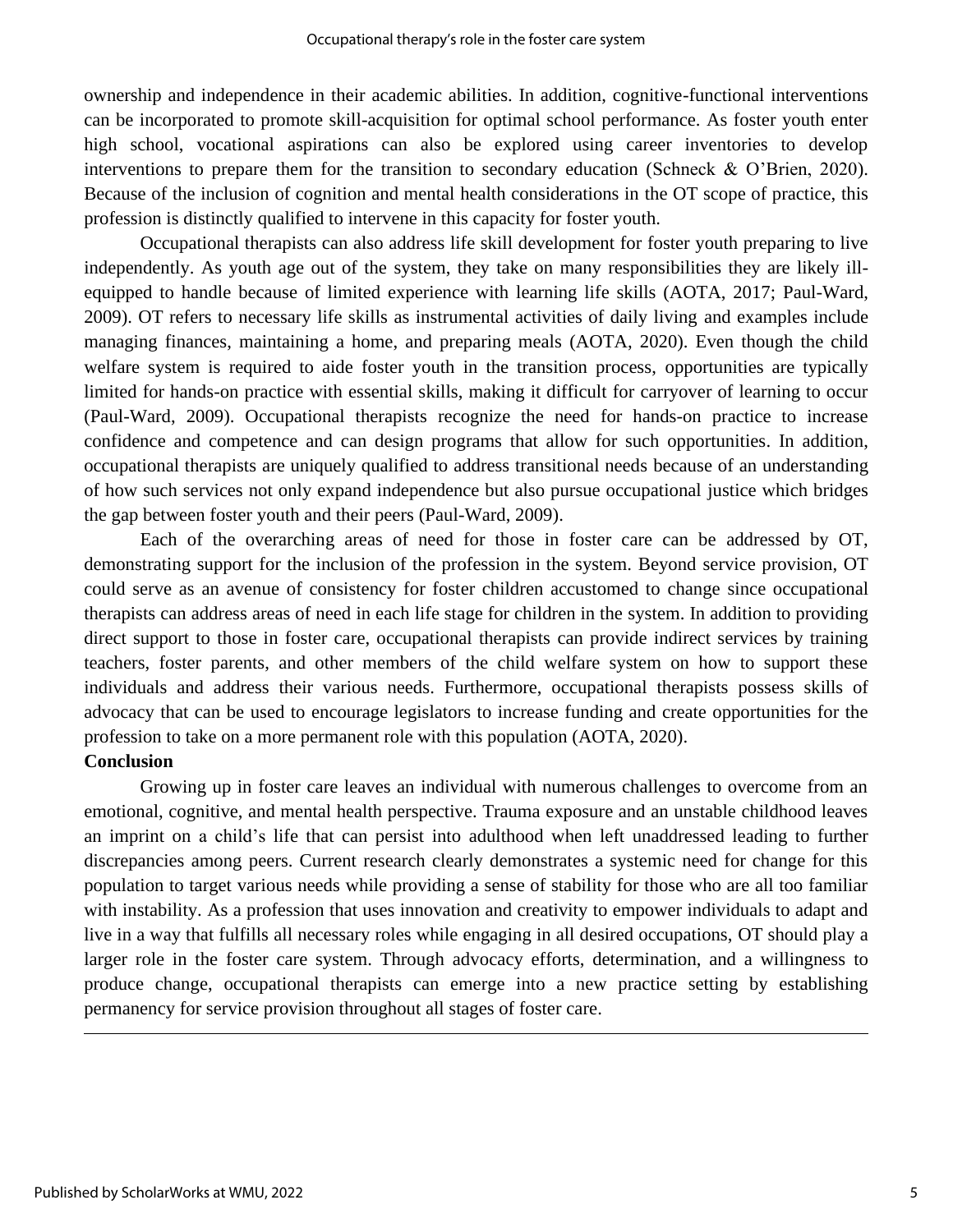ownership and independence in their academic abilities. In addition, cognitive-functional interventions can be incorporated to promote skill-acquisition for optimal school performance. As foster youth enter high school, vocational aspirations can also be explored using career inventories to develop interventions to prepare them for the transition to secondary education (Schneck & O'Brien, 2020). Because of the inclusion of cognition and mental health considerations in the OT scope of practice, this profession is distinctly qualified to intervene in this capacity for foster youth.

Occupational therapists can also address life skill development for foster youth preparing to live independently. As youth age out of the system, they take on many responsibilities they are likely illequipped to handle because of limited experience with learning life skills (AOTA, 2017; Paul-Ward, 2009). OT refers to necessary life skills as instrumental activities of daily living and examples include managing finances, maintaining a home, and preparing meals (AOTA, 2020). Even though the child welfare system is required to aide foster youth in the transition process, opportunities are typically limited for hands-on practice with essential skills, making it difficult for carryover of learning to occur (Paul-Ward, 2009). Occupational therapists recognize the need for hands-on practice to increase confidence and competence and can design programs that allow for such opportunities. In addition, occupational therapists are uniquely qualified to address transitional needs because of an understanding of how such services not only expand independence but also pursue occupational justice which bridges the gap between foster youth and their peers (Paul-Ward, 2009).

Each of the overarching areas of need for those in foster care can be addressed by OT, demonstrating support for the inclusion of the profession in the system. Beyond service provision, OT could serve as an avenue of consistency for foster children accustomed to change since occupational therapists can address areas of need in each life stage for children in the system. In addition to providing direct support to those in foster care, occupational therapists can provide indirect services by training teachers, foster parents, and other members of the child welfare system on how to support these individuals and address their various needs. Furthermore, occupational therapists possess skills of advocacy that can be used to encourage legislators to increase funding and create opportunities for the profession to take on a more permanent role with this population (AOTA, 2020).

### **Conclusion**

Growing up in foster care leaves an individual with numerous challenges to overcome from an emotional, cognitive, and mental health perspective. Trauma exposure and an unstable childhood leaves an imprint on a child's life that can persist into adulthood when left unaddressed leading to further discrepancies among peers. Current research clearly demonstrates a systemic need for change for this population to target various needs while providing a sense of stability for those who are all too familiar with instability. As a profession that uses innovation and creativity to empower individuals to adapt and live in a way that fulfills all necessary roles while engaging in all desired occupations, OT should play a larger role in the foster care system. Through advocacy efforts, determination, and a willingness to produce change, occupational therapists can emerge into a new practice setting by establishing permanency for service provision throughout all stages of foster care.